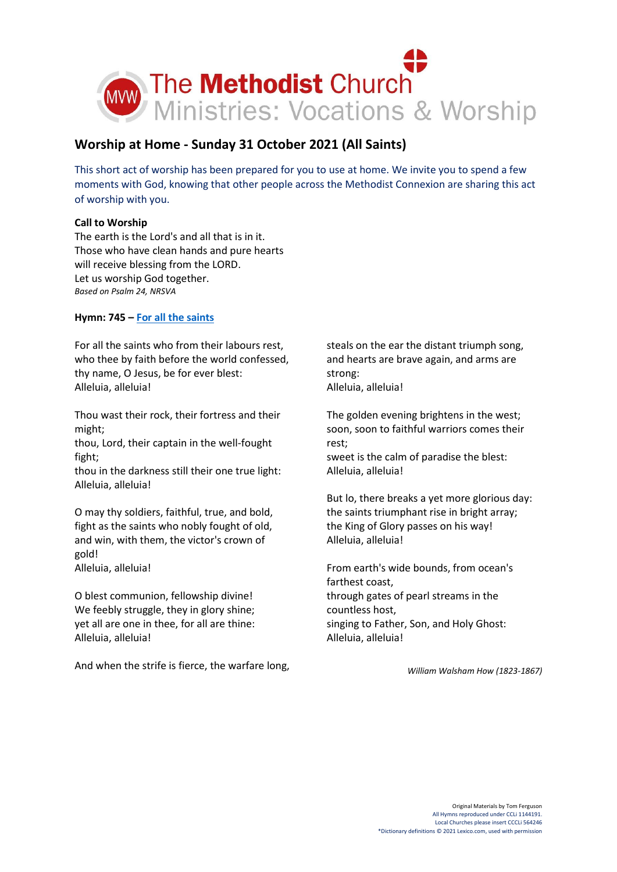

# **Worship at Home - Sunday 31 October 2021 (All Saints)**

This short act of worship has been prepared for you to use at home. We invite you to spend a few moments with God, knowing that other people across the Methodist Connexion are sharing this act of worship with you.

# **Call to Worship**

The earth is the Lord's and all that is in it. Those who have clean hands and pure hearts will receive blessing from the LORD. Let us worship God together. *Based on Psalm 24, NRSVA*

# **Hymn: 745 – [For all the saints](https://www.youtube.com/watch?v=21GTTM2TIYA)**

For all the saints who from their labours rest, who thee by faith before the world confessed, thy name, O Jesus, be for ever blest: Alleluia, alleluia!

Thou wast their rock, their fortress and their might;

thou, Lord, their captain in the well-fought fight;

thou in the darkness still their one true light: Alleluia, alleluia!

O may thy soldiers, faithful, true, and bold, fight as the saints who nobly fought of old, and win, with them, the victor's crown of gold! Alleluia, alleluia!

O blest communion, fellowship divine! We feebly struggle, they in glory shine; yet all are one in thee, for all are thine: Alleluia, alleluia!

And when the strife is fierce, the warfare long,

steals on the ear the distant triumph song, and hearts are brave again, and arms are strong: Alleluia, alleluia!

The golden evening brightens in the west; soon, soon to faithful warriors comes their rest;

sweet is the calm of paradise the blest: Alleluia, alleluia!

But lo, there breaks a yet more glorious day: the saints triumphant rise in bright array; the King of Glory passes on his way! Alleluia, alleluia!

From earth's wide bounds, from ocean's farthest coast, through gates of pearl streams in the countless host, singing to Father, Son, and Holy Ghost: Alleluia, alleluia!

*William Walsham How (1823-1867)*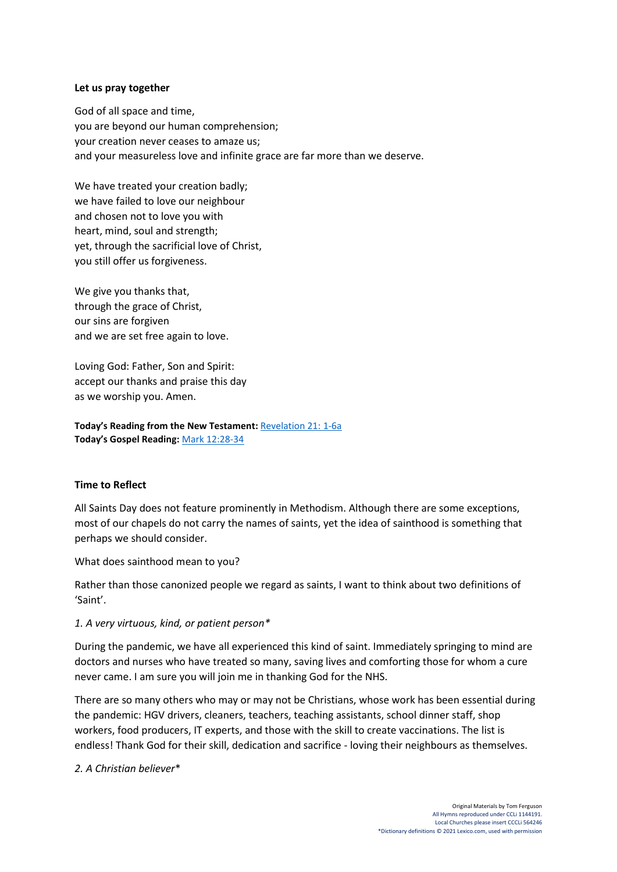## **Let us pray together**

God of all space and time, you are beyond our human comprehension; your creation never ceases to amaze us; and your measureless love and infinite grace are far more than we deserve.

We have treated your creation badly; we have failed to love our neighbour and chosen not to love you with heart, mind, soul and strength; yet, through the sacrificial love of Christ, you still offer us forgiveness.

We give you thanks that, through the grace of Christ, our sins are forgiven and we are set free again to love.

Loving God: Father, Son and Spirit: accept our thanks and praise this day as we worship you. Amen.

**Today's Reading from the New Testament:** [Revelation 21:](https://www.biblegateway.com/passage/?search=Revelation+21%3A+1-6a&version=NIV) 1-6a **Today's Gospel Reading:** [Mark 12:28-34](https://www.biblegateway.com/passage/?search=Mark+12%3A28-34&version=NIV)

#### **Time to Reflect**

All Saints Day does not feature prominently in Methodism. Although there are some exceptions, most of our chapels do not carry the names of saints, yet the idea of sainthood is something that perhaps we should consider.

What does sainthood mean to you?

Rather than those canonized people we regard as saints, I want to think about two definitions of 'Saint'.

#### *1. A very virtuous, kind, or patient person\**

During the pandemic, we have all experienced this kind of saint. Immediately springing to mind are doctors and nurses who have treated so many, saving lives and comforting those for whom a cure never came. I am sure you will join me in thanking God for the NHS.

There are so many others who may or may not be Christians, whose work has been essential during the pandemic: HGV drivers, cleaners, teachers, teaching assistants, school dinner staff, shop workers, food producers, IT experts, and those with the skill to create vaccinations. The list is endless! Thank God for their skill, dedication and sacrifice - loving their neighbours as themselves.

*2. A Christian believer*\*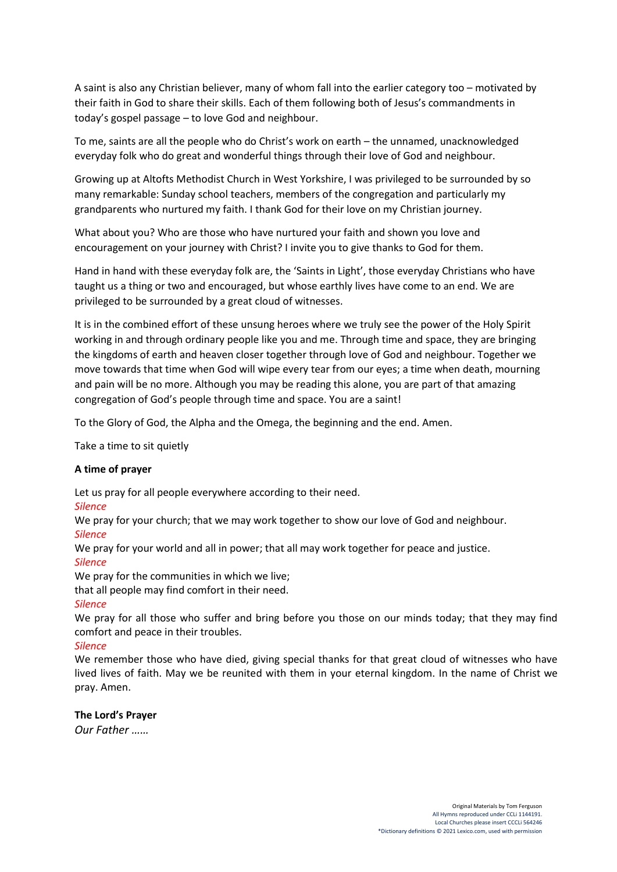A saint is also any Christian believer, many of whom fall into the earlier category too – motivated by their faith in God to share their skills. Each of them following both of Jesus's commandments in today's gospel passage – to love God and neighbour.

To me, saints are all the people who do Christ's work on earth – the unnamed, unacknowledged everyday folk who do great and wonderful things through their love of God and neighbour.

Growing up at Altofts Methodist Church in West Yorkshire, I was privileged to be surrounded by so many remarkable: Sunday school teachers, members of the congregation and particularly my grandparents who nurtured my faith. I thank God for their love on my Christian journey.

What about you? Who are those who have nurtured your faith and shown you love and encouragement on your journey with Christ? I invite you to give thanks to God for them.

Hand in hand with these everyday folk are, the 'Saints in Light', those everyday Christians who have taught us a thing or two and encouraged, but whose earthly lives have come to an end. We are privileged to be surrounded by a great cloud of witnesses.

It is in the combined effort of these unsung heroes where we truly see the power of the Holy Spirit working in and through ordinary people like you and me. Through time and space, they are bringing the kingdoms of earth and heaven closer together through love of God and neighbour. Together we move towards that time when God will wipe every tear from our eyes; a time when death, mourning and pain will be no more. Although you may be reading this alone, you are part of that amazing congregation of God's people through time and space. You are a saint!

To the Glory of God, the Alpha and the Omega, the beginning and the end. Amen.

Take a time to sit quietly

#### **A time of prayer**

Let us pray for all people everywhere according to their need.

*Silence*

We pray for your church; that we may work together to show our love of God and neighbour.

# *Silence*

We pray for your world and all in power; that all may work together for peace and justice. *Silence*

We pray for the communities in which we live;

that all people may find comfort in their need.

# *Silence*

We pray for all those who suffer and bring before you those on our minds today; that they may find comfort and peace in their troubles.

# *Silence*

We remember those who have died, giving special thanks for that great cloud of witnesses who have lived lives of faith. May we be reunited with them in your eternal kingdom. In the name of Christ we pray. Amen.

**The Lord's Prayer** *Our Father ……*